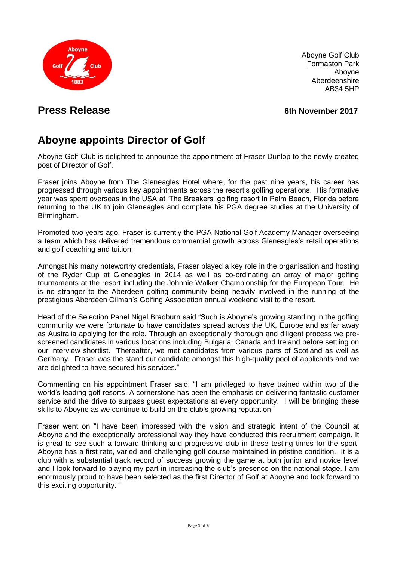

Aboyne Golf Club Formaston Park Aboyne Aberdeenshire AB34 5HP

# **Press Release 6th November 2017**

# **Aboyne appoints Director of Golf**

Aboyne Golf Club is delighted to announce the appointment of Fraser Dunlop to the newly created post of Director of Golf.

Fraser joins Aboyne from The Gleneagles Hotel where, for the past nine years, his career has progressed through various key appointments across the resort's golfing operations. His formative year was spent overseas in the USA at 'The Breakers' golfing resort in Palm Beach, Florida before returning to the UK to join Gleneagles and complete his PGA degree studies at the University of Birmingham.

Promoted two years ago, Fraser is currently the PGA National Golf Academy Manager overseeing a team which has delivered tremendous commercial growth across Gleneagles's retail operations and golf coaching and tuition.

Amongst his many noteworthy credentials, Fraser played a key role in the organisation and hosting of the Ryder Cup at Gleneagles in 2014 as well as co-ordinating an array of major golfing tournaments at the resort including the Johnnie Walker Championship for the European Tour. He is no stranger to the Aberdeen golfing community being heavily involved in the running of the prestigious Aberdeen Oilman's Golfing Association annual weekend visit to the resort.

Head of the Selection Panel Nigel Bradburn said "Such is Aboyne's growing standing in the golfing community we were fortunate to have candidates spread across the UK, Europe and as far away as Australia applying for the role. Through an exceptionally thorough and diligent process we prescreened candidates in various locations including Bulgaria, Canada and Ireland before settling on our interview shortlist. Thereafter, we met candidates from various parts of Scotland as well as Germany. Fraser was the stand out candidate amongst this high-quality pool of applicants and we are delighted to have secured his services."

Commenting on his appointment Fraser said, "I am privileged to have trained within two of the world's leading golf resorts. A cornerstone has been the emphasis on delivering fantastic customer service and the drive to surpass quest expectations at every opportunity. I will be bringing these skills to Aboyne as we continue to build on the club's growing reputation."

Fraser went on "I have been impressed with the vision and strategic intent of the Council at Aboyne and the exceptionally professional way they have conducted this recruitment campaign. It is great to see such a forward-thinking and progressive club in these testing times for the sport. Aboyne has a first rate, varied and challenging golf course maintained in pristine condition. It is a club with a substantial track record of success growing the game at both junior and novice level and I look forward to playing my part in increasing the club's presence on the national stage. I am enormously proud to have been selected as the first Director of Golf at Aboyne and look forward to this exciting opportunity. "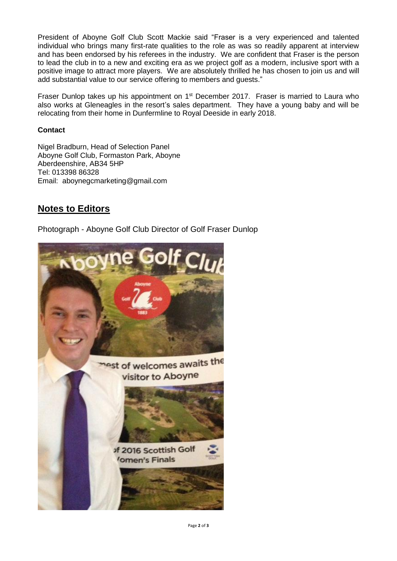President of Aboyne Golf Club Scott Mackie said "Fraser is a very experienced and talented individual who brings many first-rate qualities to the role as was so readily apparent at interview and has been endorsed by his referees in the industry. We are confident that Fraser is the person to lead the club in to a new and exciting era as we project golf as a modern, inclusive sport with a positive image to attract more players. We are absolutely thrilled he has chosen to join us and will add substantial value to our service offering to members and guests."

Fraser Dunlop takes up his appointment on 1<sup>st</sup> December 2017. Fraser is married to Laura who also works at Gleneagles in the resort's sales department. They have a young baby and will be relocating from their home in Dunfermline to Royal Deeside in early 2018.

#### **Contact**

Nigel Bradburn, Head of Selection Panel Aboyne Golf Club, Formaston Park, Aboyne Aberdeenshire, AB34 5HP Tel: 013398 86328 Email: aboynegcmarketing@gmail.com

## **Notes to Editors**

Photograph - Aboyne Golf Club Director of Golf Fraser Dunlop